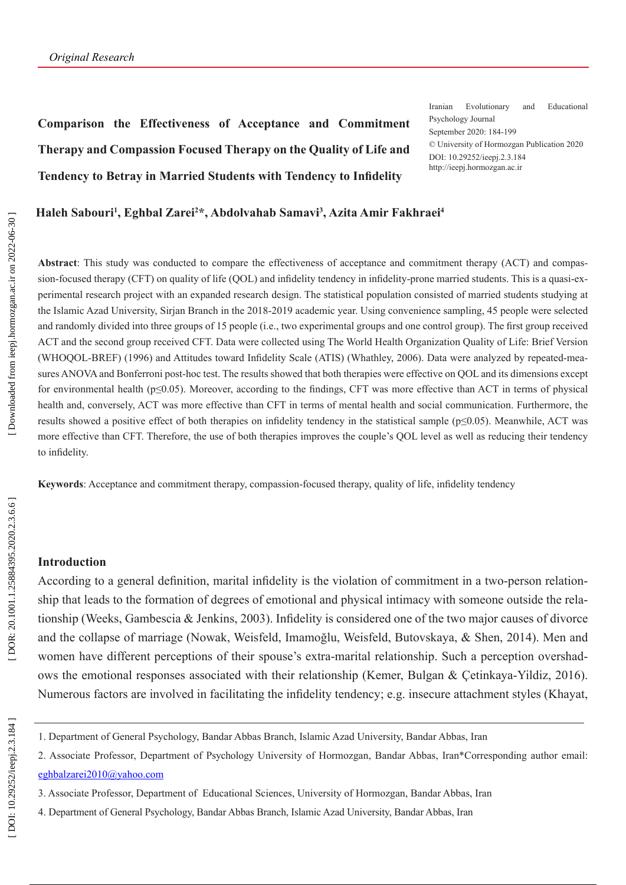**Comparison the Effectiveness of Acceptance and Commitment Therapy and Compassion Focused Therapy on the Quality of Life and Tendency to Betray in Married Students with Tendency to Infidelity**

Iranian Evolutionary and Educational Psychology Journal September 2020: 184-199 © University of Hormozgan Publication 2020 DOI: 10.29252/ieepj.2.3.184 http://ieepj.hormozgan.ac.ir

#### **Haleh Sabouri 1 , Eghbal Zarei 2 \*, Abdolvahab Samavi 3 , Azita Amir Fakhraei 4**

**Abstract**: This study was conducted to compare the effectiveness of acceptance and commitment therapy (ACT) and compas sion-focused therapy (CFT) on quality of life (QOL) and infidelity tendency in infidelity-prone married students. This is a quasi-ex perimental research project with an expanded research design. The statistical population consisted of married students studying at the Islamic Azad University, Sirjan Branch in the 2018-2019 academic year. Using convenience sampling, 45 people were selected and randomly divided into three groups of 15 people (i.e., two experimental groups and one control group). The first group received ACT and the second group received CFT. Data were collected using The World Health Organization Quality of Life: Brief Version (WHOQOL-BREF) (1996) and Attitudes toward Infidelity Scale (ATIS) (Whathley, 2006). Data were analyzed by repeated-mea sures ANOVA and Bonferroni post-hoc test. The results showed that both therapies were effective on QOL and its dimensions except for environmental health (p≤0.05). Moreover, according to the findings, CFT was more effective than ACT in terms of physical health and, conversely, ACT was more effective than CFT in terms of mental health and social communication. Furthermore, the results showed a positive effect of both therapies on infidelity tendency in the statistical sample (p≤0.05). Meanwhile, ACT was more effective than CFT. Therefore, the use of both therapies improves the couple's QOL level as well as reducing their tendency to infidelity.

**Keywords**: Acceptance and commitment therapy, compassion-focused therapy, quality of life, infidelity tendency

## **Introduction**

According to a general definition, marital infidelity is the violation of commitment in a two-person relation ship that leads to the formation of degrees of emotional and physical intimacy with someone outside the rela tionship (Weeks, Gambescia & Jenkins, 2003). Infidelity is considered one of the two major causes of divorce and the collapse of marriage (Nowak, Weisfeld, Imamoğlu, Weisfeld, Butovskaya, & Shen, 2014). Men and women have different perceptions of their spouse's extra-marital relationship. Such a perception overshad ows the emotional responses associated with their relationship (Kemer, Bulgan & Çetinkaya-Yildiz, 2016). Numerous factors are involved in facilitating the infidelity tendency; e.g. insecure attachment styles (Khayat,

<sup>1.</sup> Department of General Psychology, Bandar Abbas Branch, Islamic Azad University, Bandar Abbas, Iran

<sup>2.</sup> Associate Professor, Department of Psychology University of Hormozgan, Bandar Abbas, Iran\*Corresponding author email: [eghbalzarei2010@yahoo.com](mailto:eghbalzarei2010@yahoo.com)

<sup>3.</sup> Associate Professor, Department of Educational Sciences, University of Hormozgan, Bandar Abbas, Iran

<sup>4.</sup> Department of General Psychology, Bandar Abbas Branch, Islamic Azad University, Bandar Abbas, Iran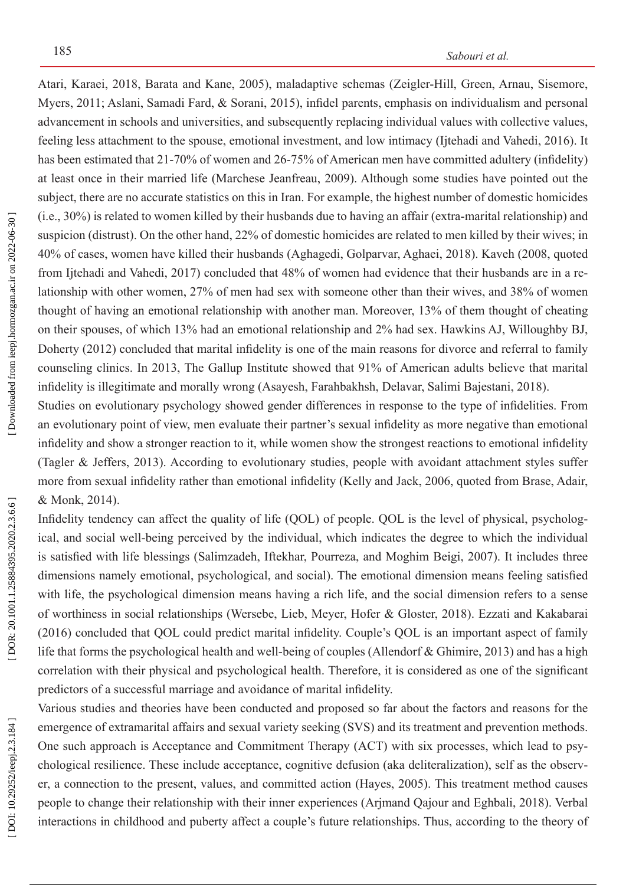Atari, Karaei, 2018, Barata and Kane, 2005), maladaptive schemas (Zeigler-Hill, Green, Arnau, Sisemore, Myers, 2011; Aslani, Samadi Fard, & Sorani, 2015), infidel parents, emphasis on individualism and personal advancement in schools and universities, and subsequently replacing individual values with collective values, feeling less attachment to the spouse, emotional investment, and low intimacy (Ijtehadi and Vahedi, 2016). It has been estimated that 21-70% of women and 26-75% of American men have committed adultery (infidelity) at least once in their married life (Marchese Jeanfreau, 2009). Although some studies have pointed out the subject, there are no accurate statistics on this in Iran. For example, the highest number of domestic homicides (i.e., 30%) is related to women killed by their husbands due to having an affair (extra-marital relationship) and suspicion (distrust). On the other hand, 22% of domestic homicides are related to men killed by their wives; in 40% of cases, women have killed their husbands (Aghagedi, Golparvar, Aghaei, 2018). Kaveh (2008, quoted from Ijtehadi and Vahedi, 2017) concluded that 48% of women had evidence that their husbands are in a re lationship with other women, 27% of men had sex with someone other than their wives, and 38% of women thought of having an emotional relationship with another man. Moreover, 13% of them thought of cheating on their spouses, of which 13% had an emotional relationship and 2% had sex. Hawkins AJ, Willoughby BJ, Doherty (2012) concluded that marital infidelity is one of the main reasons for divorce and referral to family counseling clinics. In 2013, The Gallup Institute showed that 91% of American adults believe that marital infidelity is illegitimate and morally wrong (Asayesh, Farahbakhsh, Delavar, Salimi Bajestani, 2018).

Studies on evolutionary psychology showed gender differences in response to the type of infidelities. From an evolutionary point of view, men evaluate their partner's sexual infidelity as more negative than emotional infidelity and show a stronger reaction to it, while women show the strongest reactions to emotional infidelity (Tagler & Jeffers, 2013). According to evolutionary studies, people with avoidant attachment styles suffer more from sexual infidelity rather than emotional infidelity (Kelly and Jack, 2006, quoted from Brase, Adair, & Monk, 2014).

Infidelity tendency can affect the quality of life (QOL) of people. QOL is the level of physical, psycholog ical, and social well-being perceived by the individual, which indicates the degree to which the individual is satisfied with life blessings (Salimzadeh, Iftekhar, Pourreza, and Moghim Beigi, 2007). It includes three dimensions namely emotional, psychological, and social). The emotional dimension means feeling satisfied with life, the psychological dimension means having a rich life, and the social dimension refers to a sense of worthiness in social relationships (Wersebe, Lieb, Meyer, Hofer & Gloster, 2018). Ezzati and Kakabarai (2016) concluded that QOL could predict marital infidelity. Couple's QOL is an important aspect of family life that forms the psychological health and well-being of couples (Allendorf & Ghimire, 2013) and has a high correlation with their physical and psychological health. Therefore, it is considered as one of the significant predictors of a successful marriage and avoidance of marital infidelity .

Various studies and theories have been conducted and proposed so far about the factors and reasons for the emergence of extramarital affairs and sexual variety seeking (SVS) and its treatment and prevention methods. One such approach is Acceptance and Commitment Therapy (ACT) with six processes, which lead to psy chological resilience. These include acceptance, cognitive defusion (aka deliteralization), self as the observ er, a connection to the present, values, and committed action (Hayes, 2005). This treatment method causes people to change their relationship with their inner experiences (Arjmand Qajour and Eghbali, 2018). Verbal interactions in childhood and puberty affect a couple's future relationships. Thus, according to the theory of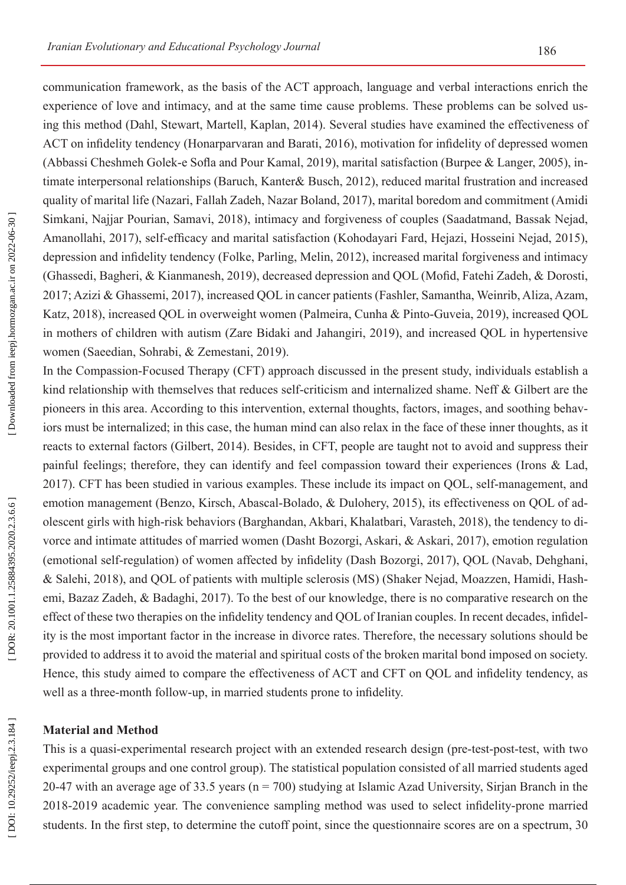communication framework, as the basis of the ACT approach, language and verbal interactions enrich the experience of love and intimacy, and at the same time cause problems. These problems can be solved using this method (Dahl, Stewart, Martell, Kaplan, 2014). Several studies have examined the effectiveness of ACT on infidelity tendency (Honarparvaran and Barati, 2016), motivation for infidelity of depressed women (Abbassi Cheshmeh Golek-e Sofla and Pour Kamal, 2019), marital satisfaction (Burpee & Langer, 2005), in timate interpersonal relationships (Baruch, Kanter& Busch, 2012), reduced marital frustration and increased quality of marital life (Nazari, Fallah Zadeh, Nazar Boland, 2017), marital boredom and commitment (Amidi Simkani, Najjar Pourian, Samavi, 2018), intimacy and forgiveness of couples (Saadatmand, Bassak Nejad, Amanollahi, 2017), self-efficacy and marital satisfaction (Kohodayari Fard, Hejazi, Hosseini Nejad, 2015), depression and infidelity tendency (Folke, Parling, Melin, 2012), increased marital forgiveness and intimacy (Ghassedi, Bagheri, & Kianmanesh, 2019), decreased depression and QOL (Mofid, Fatehi Zadeh, & Dorosti, 2017; Azizi & Ghassemi, 2017), increased QOL in cancer patients (Fashler, Samantha, Weinrib, Aliza, Azam, Katz, 2018), increased QOL in overweight women (Palmeira, Cunha & Pinto-Guveia, 2019), increased QOL in mothers of children with autism (Zare Bidaki and Jahangiri, 2019), and increased QOL in hypertensive women (Saeedian, Sohrabi, & Zemestani, 2019).

In the Compassion-Focused Therapy (CFT) approach discussed in the present study, individuals establish a kind relationship with themselves that reduces self-criticism and internalized shame. Neff & Gilbert are the pioneers in this area. According to this intervention, external thoughts, factors, images, and soothing behav iors must be internalized; in this case, the human mind can also relax in the face of these inner thoughts, as it reacts to external factors (Gilbert, 2014). Besides, in CFT, people are taught not to avoid and suppress their painful feelings; therefore, they can identify and feel compassion toward their experiences (Irons & Lad, 2017). CFT has been studied in various examples. These include its impact on QOL, self-management, and emotion management (Benzo, Kirsch, Abascal-Bolado, & Dulohery, 2015), its effectiveness on QOL of ad olescent girls with high-risk behaviors (Barghandan, Akbari, Khalatbari, Varasteh, 2018), the tendency to di vorce and intimate attitudes of married women (Dasht Bozorgi, Askari, & Askari, 2017), emotion regulation (emotional self-regulation) of women affected by infidelity (Dash Bozorgi, 2017), QOL (Navab, Dehghani, & Salehi, 2018), and QOL of patients with multiple sclerosis (MS) (Shaker Nejad, Moazzen, Hamidi, Hash emi, Bazaz Zadeh, & Badaghi, 2017). To the best of our knowledge, there is no comparative research on the effect of these two therapies on the infidelity tendency and QOL of Iranian couples. In recent decades, infidel ity is the most important factor in the increase in divorce rates. Therefore, the necessary solutions should be provided to address it to avoid the material and spiritual costs of the broken marital bond imposed on society. Hence, this study aimed to compare the effectiveness of ACT and CFT on QOL and infidelity tendency, as well as a three-month follow-up, in married students prone to infidelity .

#### **Material and Method**

This is a quasi-experimental research project with an extended research design (pre-test-post-test, with two experimental groups and one control group). The statistical population consisted of all married students aged 20-47 with an average age of 33.5 years ( $n = 700$ ) studying at Islamic Azad University, Sirjan Branch in the 2018-2019 academic year. The convenience sampling method was used to select infidelity-prone married students. In the first step, to determine the cutoff point, since the questionnaire scores are on a spectrum, 30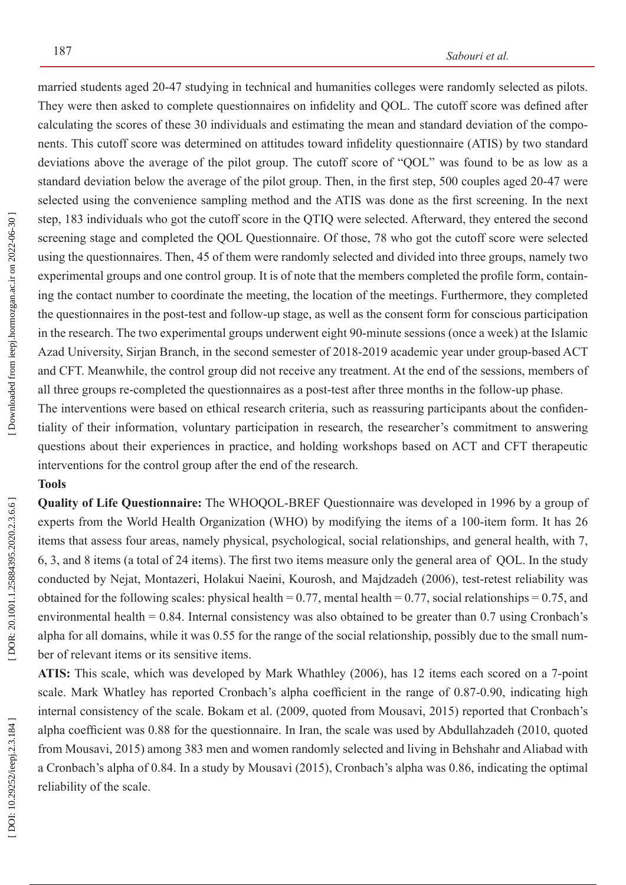married students aged 20-47 studying in technical and humanities colleges were randomly selected as pilots. They were then asked to complete questionnaires on infidelity and QOL. The cutoff score was defined after calculating the scores of these 30 individuals and estimating the mean and standard deviation of the compo nents. This cutoff score was determined on attitudes toward infidelity questionnaire (ATIS) by two standard deviations above the average of the pilot group. The cutoff score of "QOL" was found to be as low as a standard deviation below the average of the pilot group. Then, in the first step, 500 couples aged 20-47 were selected using the convenience sampling method and the ATIS was done as the first screening. In the next step, 183 individuals who got the cutoff score in the QTIQ were selected. Afterward, they entered the second screening stage and completed the QOL Questionnaire. Of those, 78 who got the cutoff score were selected using the questionnaires. Then, 45 of them were randomly selected and divided into three groups, namely two experimental groups and one control group. It is of note that the members completed the profile form, contain ing the contact number to coordinate the meeting, the location of the meetings. Furthermore, they completed the questionnaires in the post-test and follow-up stage, as well as the consent form for conscious participation in the research. The two experimental groups underwent eight 90-minute sessions (once a week) at the Islamic Azad University, Sirjan Branch, in the second semester of 2018-2019 academic year under group-based ACT and CFT. Meanwhile, the control group did not receive any treatment. At the end of the sessions, members of all three groups re-completed the questionnaires as a post-test after three months in the follow-up phase.

The interventions were based on ethical research criteria, such as reassuring participants about the confiden tiality of their information, voluntary participation in research, the researcher's commitment to answering questions about their experiences in practice, and holding workshops based on ACT and CFT therapeutic interventions for the control group after the end of the research.

# **Tools**

**Quality of Life Questionnaire:** The WHOQOL-BREF Questionnaire was developed in 1996 by a group of experts from the World Health Organization (WHO) by modifying the items of a 100-item form. It has 26 items that assess four areas, namely physical, psychological, social relationships, and general health, with 7, 6, 3, and 8 items (a total of 24 items). The first two items measure only the general area of QOL. In the study conducted by Nejat, Montazeri, Holakui Naeini, Kourosh, and Majdzadeh (2006), test-retest reliability was obtained for the following scales: physical health =  $0.77$ , mental health =  $0.77$ , social relationships =  $0.75$ , and environmental health = 0.84. Internal consistency was also obtained to be greater than 0.7 using Cronbach's alpha for all domains, while it was 0.55 for the range of the social relationship, possibly due to the small num ber of relevant items or its sensitive items.

**ATIS:** This scale, which was developed by Mark Whathley (2006), has 12 items each scored on a 7-point scale. Mark Whatley has reported Cronbach's alpha coefficient in the range of 0.87-0.90, indicating high internal consistency of the scale. Bokam et al. (2009, quoted from Mousavi, 2015) reported that Cronbach's alpha coefficient was 0.88 for the questionnaire. In Iran, the scale was used by Abdullahzadeh (2010, quoted from Mousavi, 2015) among 383 men and women randomly selected and living in Behshahr and Aliabad with a Cronbach's alpha of 0.84. In a study by Mousavi (2015), Cronbach's alpha was 0.86, indicating the optimal reliability of the scale.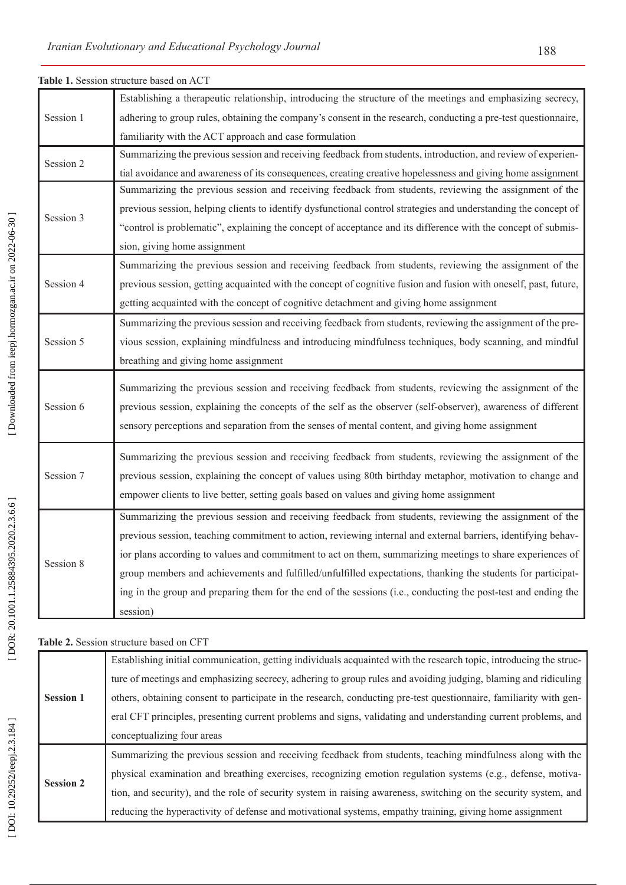|           | <b>Table 1.</b> Session structure based on ACT                                                                   |
|-----------|------------------------------------------------------------------------------------------------------------------|
|           | Establishing a therapeutic relationship, introducing the structure of the meetings and emphasizing secrecy,      |
| Session 1 | adhering to group rules, obtaining the company's consent in the research, conducting a pre-test questionnaire,   |
|           | familiarity with the ACT approach and case formulation                                                           |
| Session 2 | Summarizing the previous session and receiving feedback from students, introduction, and review of experien-     |
|           | tial avoidance and awareness of its consequences, creating creative hopelessness and giving home assignment      |
|           | Summarizing the previous session and receiving feedback from students, reviewing the assignment of the           |
| Session 3 | previous session, helping clients to identify dysfunctional control strategies and understanding the concept of  |
|           | "control is problematic", explaining the concept of acceptance and its difference with the concept of submis-    |
|           | sion, giving home assignment                                                                                     |
|           | Summarizing the previous session and receiving feedback from students, reviewing the assignment of the           |
| Session 4 | previous session, getting acquainted with the concept of cognitive fusion and fusion with oneself, past, future, |
|           | getting acquainted with the concept of cognitive detachment and giving home assignment                           |
|           | Summarizing the previous session and receiving feedback from students, reviewing the assignment of the pre-      |
| Session 5 | vious session, explaining mindfulness and introducing mindfulness techniques, body scanning, and mindful         |
|           | breathing and giving home assignment                                                                             |
|           | Summarizing the previous session and receiving feedback from students, reviewing the assignment of the           |
| Session 6 | previous session, explaining the concepts of the self as the observer (self-observer), awareness of different    |
|           | sensory perceptions and separation from the senses of mental content, and giving home assignment                 |
|           |                                                                                                                  |
|           | Summarizing the previous session and receiving feedback from students, reviewing the assignment of the           |
| Session 7 | previous session, explaining the concept of values using 80th birthday metaphor, motivation to change and        |
|           | empower clients to live better, setting goals based on values and giving home assignment                         |
|           | Summarizing the previous session and receiving feedback from students, reviewing the assignment of the           |
|           | previous session, teaching commitment to action, reviewing internal and external barriers, identifying behav-    |
| Session 8 | ior plans according to values and commitment to act on them, summarizing meetings to share experiences of        |
|           | group members and achievements and fulfilled/unfulfilled expectations, thanking the students for participat-     |
|           | ing in the group and preparing them for the end of the sessions (i.e., conducting the post-test and ending the   |
|           | session)                                                                                                         |
|           |                                                                                                                  |

**Table 1.** Session structure based on ACT

**Table 2.** Session structure based on CFT

| <b>Session 1</b> | Establishing initial communication, getting individuals acquainted with the research topic, introducing the struc- |
|------------------|--------------------------------------------------------------------------------------------------------------------|
|                  | ture of meetings and emphasizing secrecy, adhering to group rules and avoiding judging, blaming and ridiculing     |
|                  | others, obtaining consent to participate in the research, conducting pre-test questionnaire, familiarity with gen- |
|                  | eral CFT principles, presenting current problems and signs, validating and understanding current problems, and     |
|                  | conceptualizing four areas                                                                                         |
| <b>Session 2</b> | Summarizing the previous session and receiving feedback from students, teaching mindfulness along with the         |
|                  | physical examination and breathing exercises, recognizing emotion regulation systems (e.g., defense, motiva-       |
|                  | tion, and security), and the role of security system in raising awareness, switching on the security system, and   |
|                  | reducing the hyperactivity of defense and motivational systems, empathy training, giving home assignment           |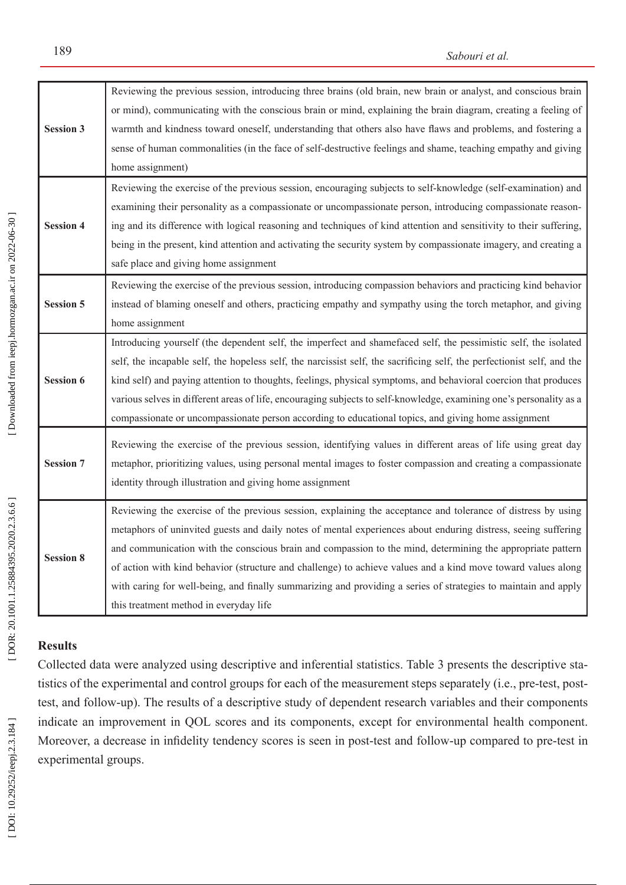|                  | Reviewing the previous session, introducing three brains (old brain, new brain or analyst, and conscious brain          |
|------------------|-------------------------------------------------------------------------------------------------------------------------|
|                  | or mind), communicating with the conscious brain or mind, explaining the brain diagram, creating a feeling of           |
| <b>Session 3</b> | warmth and kindness toward oneself, understanding that others also have flaws and problems, and fostering a             |
|                  | sense of human commonalities (in the face of self-destructive feelings and shame, teaching empathy and giving           |
|                  | home assignment)                                                                                                        |
|                  | Reviewing the exercise of the previous session, encouraging subjects to self-knowledge (self-examination) and           |
|                  | examining their personality as a compassionate or uncompassionate person, introducing compassionate reason-             |
| <b>Session 4</b> | ing and its difference with logical reasoning and techniques of kind attention and sensitivity to their suffering,      |
|                  | being in the present, kind attention and activating the security system by compassionate imagery, and creating a        |
|                  | safe place and giving home assignment                                                                                   |
|                  | Reviewing the exercise of the previous session, introducing compassion behaviors and practicing kind behavior           |
| <b>Session 5</b> | instead of blaming oneself and others, practicing empathy and sympathy using the torch metaphor, and giving             |
|                  | home assignment                                                                                                         |
|                  | Introducing yourself (the dependent self, the imperfect and shamefaced self, the pessimistic self, the isolated         |
|                  | self, the incapable self, the hopeless self, the narcissist self, the sacrificing self, the perfectionist self, and the |
| <b>Session 6</b> | kind self) and paying attention to thoughts, feelings, physical symptoms, and behavioral coercion that produces         |
|                  | various selves in different areas of life, encouraging subjects to self-knowledge, examining one's personality as a     |
|                  | compassionate or uncompassionate person according to educational topics, and giving home assignment                     |
|                  | Reviewing the exercise of the previous session, identifying values in different areas of life using great day           |
| <b>Session 7</b> | metaphor, prioritizing values, using personal mental images to foster compassion and creating a compassionate           |
|                  | identity through illustration and giving home assignment                                                                |
|                  | Reviewing the exercise of the previous session, explaining the acceptance and tolerance of distress by using            |
|                  | metaphors of uninvited guests and daily notes of mental experiences about enduring distress, seeing suffering           |
|                  | and communication with the conscious brain and compassion to the mind, determining the appropriate pattern              |
| <b>Session 8</b> | of action with kind behavior (structure and challenge) to achieve values and a kind move toward values along            |
|                  | with caring for well-being, and finally summarizing and providing a series of strategies to maintain and apply          |
|                  | this treatment method in everyday life                                                                                  |

## **Results**

Collected data were analyzed using descriptive and inferential statistics. Table 3 presents the descriptive sta tistics of the experimental and control groups for each of the measurement steps separately (i.e., pre-test, posttest, and follow-up). The results of a descriptive study of dependent research variables and their components indicate an improvement in QOL scores and its components, except for environmental health component. Moreover, a decrease in infidelity tendency scores is seen in post-test and follow-up compared to pre-test in experimental groups.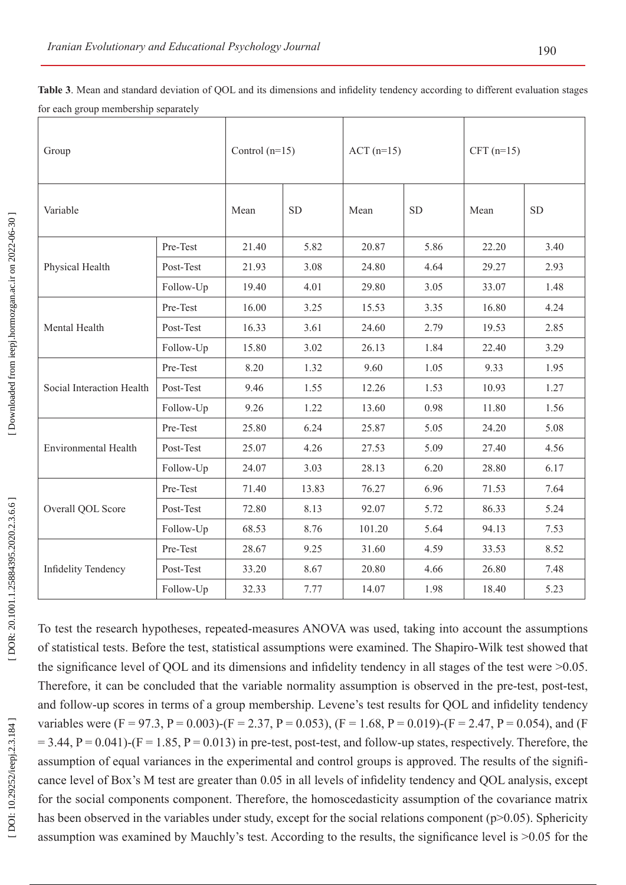| for each group membership separately<br>Group |           | Control $(n=15)$ |            | $ACT (n=15)$ |            | $CFT$ (n=15) |            |
|-----------------------------------------------|-----------|------------------|------------|--------------|------------|--------------|------------|
| Variable                                      |           | Mean             | ${\rm SD}$ | Mean         | ${\rm SD}$ | Mean         | ${\rm SD}$ |
|                                               | Pre-Test  | 21.40            | 5.82       | 20.87        | 5.86       | 22.20        | 3.40       |
| Physical Health                               | Post-Test | 21.93            | 3.08       | 24.80        | 4.64       | 29.27        | 2.93       |
|                                               | Follow-Up | 19.40            | 4.01       | 29.80        | 3.05       | 33.07        | 1.48       |
|                                               | Pre-Test  | 16.00            | 3.25       | 15.53        | 3.35       | 16.80        | 4.24       |
| Mental Health                                 | Post-Test | 16.33            | 3.61       | 24.60        | 2.79       | 19.53        | 2.85       |
|                                               | Follow-Up | 15.80            | 3.02       | 26.13        | 1.84       | 22.40        | 3.29       |
|                                               | Pre-Test  | 8.20             | 1.32       | 9.60         | 1.05       | 9.33         | 1.95       |
| Social Interaction Health                     | Post-Test | 9.46             | 1.55       | 12.26        | 1.53       | 10.93        | 1.27       |
|                                               | Follow-Up | 9.26             | 1.22       | 13.60        | 0.98       | 11.80        | 1.56       |
|                                               | Pre-Test  | 25.80            | 6.24       | 25.87        | 5.05       | 24.20        | 5.08       |
| <b>Environmental Health</b>                   | Post-Test | 25.07            | 4.26       | 27.53        | 5.09       | 27.40        | 4.56       |
|                                               | Follow-Up | 24.07            | 3.03       | 28.13        | 6.20       | 28.80        | 6.17       |
|                                               | Pre-Test  | 71.40            | 13.83      | 76.27        | 6.96       | 71.53        | 7.64       |
| Overall QOL Score                             | Post-Test | 72.80            | 8.13       | 92.07        | 5.72       | 86.33        | 5.24       |
|                                               | Follow-Up | 68.53            | 8.76       | 101.20       | 5.64       | 94.13        | 7.53       |
|                                               | Pre-Test  | 28.67            | 9.25       | 31.60        | 4.59       | 33.53        | 8.52       |
| <b>Infidelity Tendency</b>                    | Post-Test | 33.20            | 8.67       | 20.80        | 4.66       | 26.80        | 7.48       |
|                                               | Follow-Up | 32.33            | 7.77       | 14.07        | 1.98       | 18.40        | 5.23       |

**Table 3**. Mean and standard deviation of QOL and its dimensions and infidelity tendency according to different evaluation stages for each group membership separately

To test the research hypotheses, repeated-measures ANOVA was used, taking into account the assumptions of statistical tests. Before the test, statistical assumptions were examined. The Shapiro-Wilk test showed that the significance level of QOL and its dimensions and infidelity tendency in all stages of the test were >0.05. Therefore, it can be concluded that the variable normality assumption is observed in the pre-test, post-test, and follow-up scores in terms of a group membership. Levene's test results for QOL and infidelity tendency variables were  $(F = 97.3, P = 0.003)$ - $(F = 2.37, P = 0.053)$ ,  $(F = 1.68, P = 0.019)$ - $(F = 2.47, P = 0.054)$ , and  $(F = 0.054)$  $= 3.44$ , P  $= 0.041$ )-(F  $= 1.85$ , P  $= 0.013$ ) in pre-test, post-test, and follow-up states, respectively. Therefore, the assumption of equal variances in the experimental and control groups is approved. The results of the signifi cance level of Box's M test are greater than 0.05 in all levels of infidelity tendency and QOL analysis, except for the social components component. Therefore, the homoscedasticity assumption of the covariance matrix has been observed in the variables under study, except for the social relations component (p>0.05). Sphericity assumption was examined by Mauchly's test. According to the results, the significance level is >0.05 for the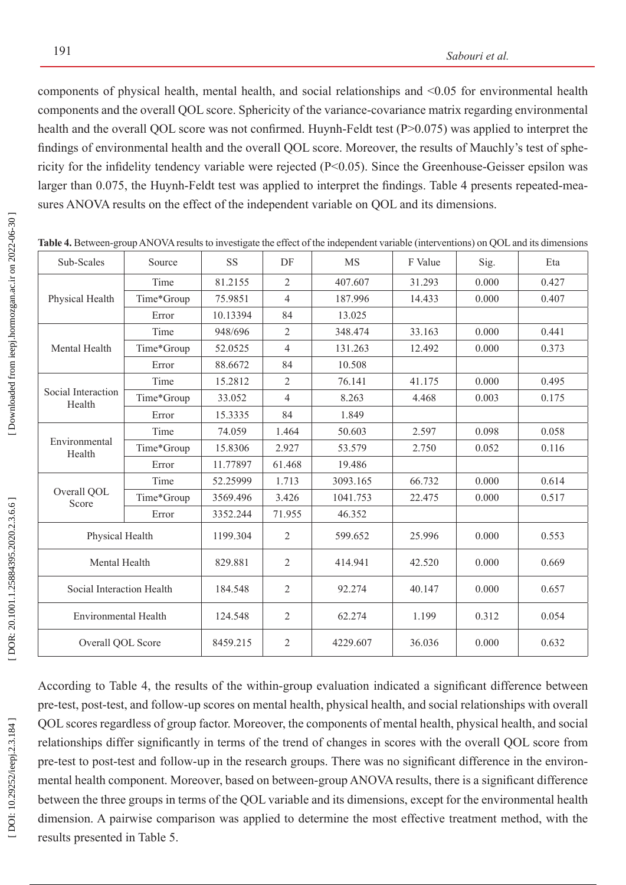components of physical health, mental health, and social relationships and <0.05 for environmental health components and the overall QOL score. Sphericity of the variance-covariance matrix regarding environmental health and the overall QOL score was not confirmed. Huynh-Feldt test (P>0.075) was applied to interpret the findings of environmental health and the overall QOL score. Moreover, the results of Mauchly's test of sphe ricity for the infidelity tendency variable were rejected (P<0.05). Since the Greenhouse-Geisser epsilon was larger than 0.075, the Huynh-Feldt test was applied to interpret the findings. Table 4 presents repeated-measures ANOVA results on the effect of the independent variable on QOL and its dimensions.

| Sub-Scales                   | Source     | <b>SS</b> | DF             | <b>MS</b> | F Value | Sig.  | Eta   |
|------------------------------|------------|-----------|----------------|-----------|---------|-------|-------|
|                              | Time       | 81.2155   | 2              | 407.607   | 31.293  | 0.000 | 0.427 |
| Physical Health              | Time*Group | 75.9851   | $\overline{4}$ | 187.996   | 14.433  | 0.000 | 0.407 |
|                              | Error      | 10.13394  | 84             | 13.025    |         |       |       |
|                              | Time       | 948/696   | $\overline{2}$ | 348.474   | 33.163  | 0.000 | 0.441 |
| Mental Health                | Time*Group | 52.0525   | $\overline{4}$ | 131.263   | 12.492  | 0.000 | 0.373 |
|                              | Error      | 88.6672   | 84             | 10.508    |         |       |       |
|                              | Time       | 15.2812   | $\overline{2}$ | 76.141    | 41.175  | 0.000 | 0.495 |
| Social Interaction<br>Health | Time*Group | 33.052    | $\overline{4}$ | 8.263     | 4.468   | 0.003 | 0.175 |
|                              | Error      | 15.3335   | 84             | 1.849     |         |       |       |
|                              | Time       | 74.059    | 1.464          | 50.603    | 2.597   | 0.098 | 0.058 |
| Environmental<br>Health      | Time*Group | 15.8306   | 2.927          | 53.579    | 2.750   | 0.052 | 0.116 |
|                              | Error      | 11.77897  | 61.468         | 19.486    |         |       |       |
|                              | Time       | 52.25999  | 1.713          | 3093.165  | 66.732  | 0.000 | 0.614 |
| Overall QOL<br>Score         | Time*Group | 3569.496  | 3.426          | 1041.753  | 22.475  | 0.000 | 0.517 |
|                              | Error      | 3352.244  | 71.955         | 46.352    |         |       |       |
| Physical Health              |            | 1199.304  | 2              | 599.652   | 25.996  | 0.000 | 0.553 |
| Mental Health                |            | 829.881   | $\overline{2}$ | 414.941   | 42.520  | 0.000 | 0.669 |
| Social Interaction Health    |            | 184.548   | $\overline{2}$ | 92.274    | 40.147  | 0.000 | 0.657 |
| <b>Environmental Health</b>  |            | 124.548   | $\overline{2}$ | 62.274    | 1.199   | 0.312 | 0.054 |
| Overall QOL Score            |            | 8459.215  | $\overline{2}$ | 4229.607  | 36.036  | 0.000 | 0.632 |

**Table 4.** Between-group ANOVA results to investigate the effect of the independent variable (interventions) on QOL and its dimensions

According to Table 4, the results of the within-group evaluation indicated a significant difference between pre-test, post-test, and follow-up scores on mental health, physical health, and social relationships with overall QOL scores regardless of group factor. Moreover, the components of mental health, physical health, and social relationships differ significantly in terms of the trend of changes in scores with the overall QOL score from pre-test to post-test and follow-up in the research groups. There was no significant difference in the environ mental health component. Moreover, based on between-group ANOVA results, there is a significant difference between the three groups in terms of the QOL variable and its dimensions, except for the environmental health dimension. A pairwise comparison was applied to determine the most effective treatment method, with the results presented in Table 5.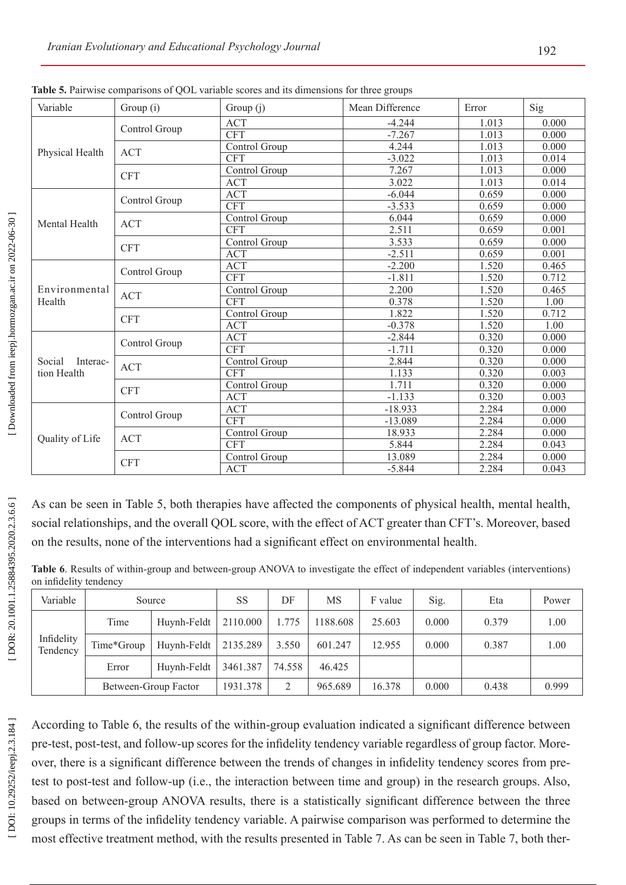| Variable           | Group (i)     | Group (j)     | Mean Difference | Error | Sig   |
|--------------------|---------------|---------------|-----------------|-------|-------|
|                    |               | <b>ACT</b>    | $-4.244$        | 1.013 | 0.000 |
|                    | Control Group | <b>CFT</b>    | $-7.267$        | 1.013 | 0.000 |
|                    |               | Control Group | 4.244           | 1.013 | 0.000 |
| Physical Health    | <b>ACT</b>    | <b>CFT</b>    | $-3.022$        | 1.013 | 0.014 |
|                    | <b>CFT</b>    | Control Group | 7.267           | 1.013 | 0.000 |
|                    |               | <b>ACT</b>    | 3.022           | 1.013 | 0.014 |
|                    | Control Group | <b>ACT</b>    | $-6.044$        | 0.659 | 0.000 |
|                    |               | <b>CFT</b>    | $-3.533$        | 0.659 | 0.000 |
| Mental Health      | <b>ACT</b>    | Control Group | 6.044           | 0.659 | 0.000 |
|                    |               | <b>CFT</b>    | 2.511           | 0.659 | 0.001 |
|                    | <b>CFT</b>    | Control Group | 3.533           | 0.659 | 0.000 |
|                    |               | <b>ACT</b>    | $-2.511$        | 0.659 | 0.001 |
|                    | Control Group | ACT           | $-2.200$        | 1.520 | 0.465 |
|                    |               | <b>CFT</b>    | $-1.811$        | 1.520 | 0.712 |
| Environmental      | <b>ACT</b>    | Control Group | 2.200           | 1.520 | 0.465 |
| Health             |               | <b>CFT</b>    | 0.378           | 1.520 | 1.00  |
|                    | <b>CFT</b>    | Control Group | 1.822           | 1.520 | 0.712 |
|                    |               | <b>ACT</b>    | $-0.378$        | 1.520 | 1.00  |
|                    | Control Group | <b>ACT</b>    | $-2.844$        | 0.320 | 0.000 |
|                    |               | <b>CFT</b>    | $-1.711$        | 0.320 | 0.000 |
| Social<br>Interac- | <b>ACT</b>    | Control Group | 2.844           | 0.320 | 0.000 |
| tion Health        |               | <b>CFT</b>    | 1.133           | 0.320 | 0.003 |
|                    | <b>CFT</b>    | Control Group | 1.711           | 0.320 | 0.000 |
|                    |               | <b>ACT</b>    | $-1.133$        | 0.320 | 0.003 |
|                    | Control Group | <b>ACT</b>    | $-18.933$       | 2.284 | 0.000 |
|                    |               | <b>CFT</b>    | $-13.089$       | 2.284 | 0.000 |
| Quality of Life    | <b>ACT</b>    | Control Group | 18.933          | 2.284 | 0.000 |
|                    |               | <b>CFT</b>    | 5.844           | 2.284 | 0.043 |
|                    | <b>CFT</b>    | Control Group | 13.089          | 2.284 | 0.000 |
|                    |               | <b>ACT</b>    | $-5.844$        | 2.284 | 0.043 |

**Table 5.** Pairwise comparisons of QOL variable scores and its dimensions for three groups

As can be seen in Table 5, both therapies have affected the components of physical health, mental health, social relationships, and the overall QOL score, with the effect of ACT greater than CFT's. Moreover, based on the results, none of the interventions had a significant effect on environmental health.

| Table 6. Results of within-group and between-group ANOVA to investigate the effect of independent variables (interventions) |
|-----------------------------------------------------------------------------------------------------------------------------|
| on infidelity tendency                                                                                                      |

| Variable               | Source               |             | <b>SS</b> | DF     | MS       | F value | Sig.  | Eta   | Power |
|------------------------|----------------------|-------------|-----------|--------|----------|---------|-------|-------|-------|
| Infidelity<br>Tendency | Time                 | Huynh-Feldt | 2110.000  | 1.775  | 1188.608 | 25.603  | 0.000 | 0.379 | 1.00  |
|                        | Time*Group           | Huynh-Feldt | 2135.289  | 3.550  | 601.247  | 12.955  | 0.000 | 0.387 | 1.00  |
|                        | Error                | Huynh-Feldt | 3461.387  | 74.558 | 46.425   |         |       |       |       |
|                        | Between-Group Factor |             | 1931.378  | 2      | 965.689  | 16.378  | 0.000 | 0.438 | 0.999 |

According to Table 6, the results of the within-group evaluation indicated a significant difference between pre-test, post-test, and follow-up scores for the infidelity tendency variable regardless of group factor. More over, there is a significant difference between the trends of changes in infidelity tendency scores from pretest to post-test and follow-up (i.e., the interaction between time and group) in the research groups. Also, based on between-group ANOVA results, there is a statistically significant difference between the three groups in terms of the infidelity tendency variable. A pairwise comparison was performed to determine the most effective treatment method, with the results presented in Table 7. As can be seen in Table 7, both ther -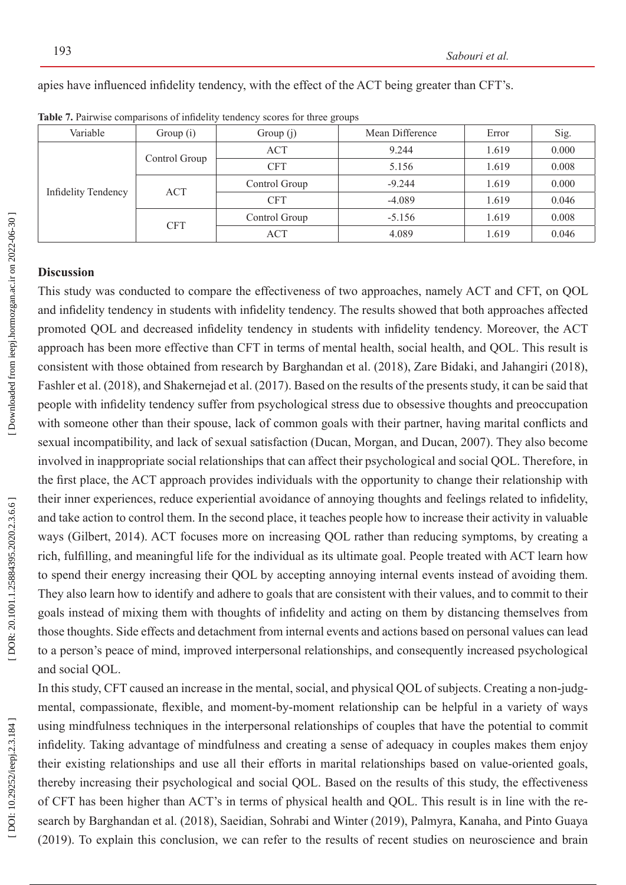#### apies have influenced infidelity tendency, with the effect of the ACT being greater than CFT's.

| Variable                   | Group $(i)$              | Group $(i)$   | Mean Difference | Error | Sig.  |
|----------------------------|--------------------------|---------------|-----------------|-------|-------|
|                            |                          | ACT           | 9.244           | 1.619 | 0.000 |
|                            | Control Group            | <b>CFT</b>    | 5.156           | 1.619 | 0.008 |
|                            | <b>ACT</b><br><b>CFT</b> | Control Group | $-9.244$        | 1.619 | 0.000 |
| <b>Infidelity Tendency</b> |                          | <b>CFT</b>    | $-4.089$        | 1.619 | 0.046 |
|                            |                          | Control Group | $-5.156$        | 1.619 | 0.008 |
|                            |                          | ACT           | 4.089           | 1.619 | 0.046 |

**Table 7.** Pairwise comparisons of infidelity tendency scores for three groups

#### **Discussion**

This study was conducted to compare the effectiveness of two approaches, namely ACT and CFT, on QOL and infidelity tendency in students with infidelity tendency. The results showed that both approaches affected promoted QOL and decreased infidelity tendency in students with infidelity tendency. Moreover, the ACT approach has been more effective than CFT in terms of mental health, social health, and QOL. This result is consistent with those obtained from research by Barghandan et al. (2018), Zare Bidaki, and Jahangiri (2018), Fashler et al. (2018), and Shakernejad et al. (2017). Based on the results of the presents study, it can be said that people with infidelity tendency suffer from psychological stress due to obsessive thoughts and preoccupation with someone other than their spouse, lack of common goals with their partner, having marital conflicts and sexual incompatibility, and lack of sexual satisfaction (Ducan, Morgan, and Ducan, 2007). They also become involved in inappropriate social relationships that can affect their psychological and social QOL. Therefore, in the first place, the ACT approach provides individuals with the opportunity to change their relationship with their inner experiences, reduce experiential avoidance of annoying thoughts and feelings related to infidelity, and take action to control them. In the second place, it teaches people how to increase their activity in valuable ways (Gilbert, 2014). ACT focuses more on increasing QOL rather than reducing symptoms, by creating a rich, fulfilling, and meaningful life for the individual as its ultimate goal. People treated with ACT learn how to spend their energy increasing their QOL by accepting annoying internal events instead of avoiding them. They also learn how to identify and adhere to goals that are consistent with their values, and to commit to their goals instead of mixing them with thoughts of infidelity and acting on them by distancing themselves from those thoughts. Side effects and detachment from internal events and actions based on personal values can lead to a person's peace of mind, improved interpersonal relationships, and consequently increased psychological and social QOL.

In this study, CFT caused an increase in the mental, social, and physical QOL of subjects. Creating a non-judg mental, compassionate, flexible, and moment-by-moment relationship can be helpful in a variety of ways using mindfulness techniques in the interpersonal relationships of couples that have the potential to commit infidelity. Taking advantage of mindfulness and creating a sense of adequacy in couples makes them enjoy their existing relationships and use all their efforts in marital relationships based on value-oriented goals, thereby increasing their psychological and social QOL. Based on the results of this study, the effectiveness of CFT has been higher than ACT's in terms of physical health and QOL. This result is in line with the re search by Barghandan et al. (2018), Saeidian, Sohrabi and Winter (2019), Palmyra, Kanaha, and Pinto Guaya (2019). To explain this conclusion, we can refer to the results of recent studies on neuroscience and brain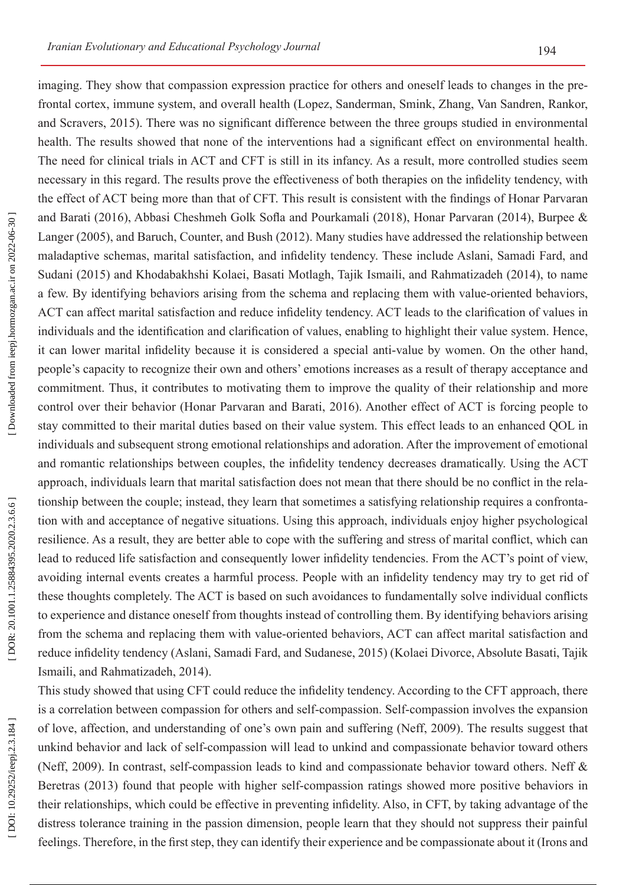imaging. They show that compassion expression practice for others and oneself leads to changes in the pre frontal cortex, immune system, and overall health (Lopez, Sanderman, Smink, Zhang, Van Sandren, Rankor, and Scravers, 2015). There was no significant difference between the three groups studied in environmental health. The results showed that none of the interventions had a significant effect on environmental health. The need for clinical trials in ACT and CFT is still in its infancy. As a result, more controlled studies seem necessary in this regard. The results prove the effectiveness of both therapies on the infidelity tendency, with the effect of ACT being more than that of CFT. This result is consistent with the findings of Honar Parvaran and Barati (2016), Abbasi Cheshmeh Golk Sofla and Pourkamali (2018), Honar Parvaran (2014), Burpee & Langer (2005), and Baruch, Counter, and Bush (2012). Many studies have addressed the relationship between maladaptive schemas, marital satisfaction, and infidelity tendency. These include Aslani, Samadi Fard, and Sudani (2015) and Khodabakhshi Kolaei, Basati Motlagh, Tajik Ismaili, and Rahmatizadeh (2014), to name a few. By identifying behaviors arising from the schema and replacing them with value-oriented behaviors, ACT can affect marital satisfaction and reduce infidelity tendency. ACT leads to the clarification of values in individuals and the identification and clarification of values, enabling to highlight their value system. Hence, it can lower marital infidelity because it is considered a special anti-value by women. On the other hand, people's capacity to recognize their own and others' emotions increases as a result of therapy acceptance and commitment. Thus, it contributes to motivating them to improve the quality of their relationship and more control over their behavior (Honar Parvaran and Barati, 2016). Another effect of ACT is forcing people to stay committed to their marital duties based on their value system. This effect leads to an enhanced QOL in individuals and subsequent strong emotional relationships and adoration. After the improvement of emotional and romantic relationships between couples, the infidelity tendency decreases dramatically. Using the ACT approach, individuals learn that marital satisfaction does not mean that there should be no conflict in the rela tionship between the couple; instead, they learn that sometimes a satisfying relationship requires a confronta tion with and acceptance of negative situations. Using this approach, individuals enjoy higher psychological resilience. As a result, they are better able to cope with the suffering and stress of marital conflict, which can lead to reduced life satisfaction and consequently lower infidelity tendencies. From the ACT's point of view, avoiding internal events creates a harmful process. People with an infidelity tendency may try to get rid of these thoughts completely. The ACT is based on such avoidances to fundamentally solve individual conflicts to experience and distance oneself from thoughts instead of controlling them. By identifying behaviors arising from the schema and replacing them with value-oriented behaviors, ACT can affect marital satisfaction and reduce infidelity tendency (Aslani, Samadi Fard, and Sudanese, 2015) (Kolaei Divorce, Absolute Basati, Tajik Ismaili, and Rahmatizadeh, 2014).

This study showed that using CFT could reduce the infidelity tendency. According to the CFT approach, there is a correlation between compassion for others and self-compassion. Self-compassion involves the expansion of love, affection, and understanding of one's own pain and suffering (Neff, 2009). The results suggest that unkind behavior and lack of self-compassion will lead to unkind and compassionate behavior toward others (Neff, 2009). In contrast, self-compassion leads to kind and compassionate behavior toward others. Neff & Beretras (2013) found that people with higher self-compassion ratings showed more positive behaviors in their relationships, which could be effective in preventing infidelity. Also, in CFT, by taking advantage of the distress tolerance training in the passion dimension, people learn that they should not suppress their painful feelings. Therefore, in the first step, they can identify their experience and be compassionate about it (Irons and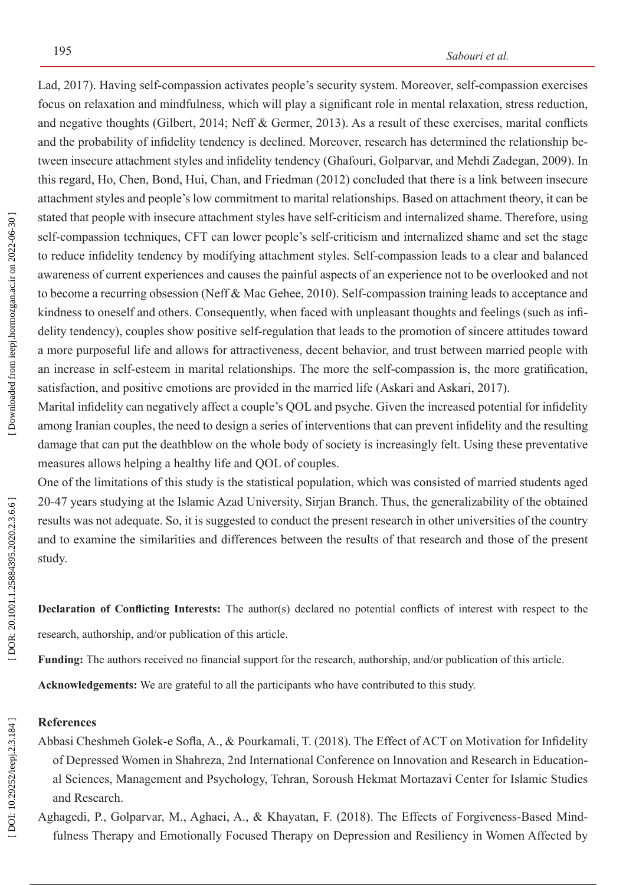Lad, 2017). Having self-compassion activates people's security system. Moreover, self-compassion exercises focus on relaxation and mindfulness, which will play a significant role in mental relaxation, stress reduction, and negative thoughts (Gilbert, 2014; Neff & Germer, 2013). As a result of these exercises, marital conflicts and the probability of infidelity tendency is declined. Moreover, research has determined the relationship be tween insecure attachment styles and infidelity tendency (Ghafouri, Golparvar, and Mehdi Zadegan, 2009). In this regard, Ho, Chen, Bond, Hui, Chan, and Friedman (2012) concluded that there is a link between insecure attachment styles and people's low commitment to marital relationships. Based on attachment theory, it can be stated that people with insecure attachment styles have self-criticism and internalized shame. Therefore, using self-compassion techniques, CFT can lower people's self-criticism and internalized shame and set the stage to reduce infidelity tendency by modifying attachment styles. Self-compassion leads to a clear and balanced awareness of current experiences and causes the painful aspects of an experience not to be overlooked and not to become a recurring obsession (Neff & Mac Gehee, 2010). Self-compassion training leads to acceptance and kindness to oneself and others. Consequently, when faced with unpleasant thoughts and feelings (such as infi delity tendency), couples show positive self-regulation that leads to the promotion of sincere attitudes toward a more purposeful life and allows for attractiveness, decent behavior, and trust between married people with an increase in self-esteem in marital relationships. The more the self-compassion is, the more gratification, satisfaction, and positive emotions are provided in the married life (Askari and Askari, 2017).

Marital infidelity can negatively affect a couple's QOL and psyche. Given the increased potential for infidelity among Iranian couples, the need to design a series of interventions that can prevent infidelity and the resulting damage that can put the deathblow on the whole body of society is increasingly felt. Using these preventative measures allows helping a healthy life and QOL of couples.

One of the limitations of this study is the statistical population, which was consisted of married students aged 20-47 years studying at the Islamic Azad University, Sirjan Branch. Thus, the generalizability of the obtained results was not adequate. So, it is suggested to conduct the present research in other universities of the country and to examine the similarities and differences between the results of that research and those of the present study.

**Declaration of Conflicting Interests:** The author(s) declared no potential conflicts of interest with respect to the research, authorship, and/or publication of this article.

**Funding:** The authors received no financial support for the research, authorship, and/or publication of this article.

**Acknowledgements:** We are grateful to all the participants who have contributed to this study.

## **References**

Abbasi Cheshmeh Golek-e Sofla, A., & Pourkamali, T. (2018). The Effect of ACT on Motivation for Infidelity of Depressed Women in Shahreza, 2nd International Conference on Innovation and Research in Education al Sciences, Management and Psychology, Tehran, Soroush Hekmat Mortazavi Center for Islamic Studies and Research.

Aghagedi, P., Golparvar, M., Aghaei, A., & Khayatan, F. (2018). The Effects of Forgiveness-Based Mindfulness Therapy and Emotionally Focused Therapy on Depression and Resiliency in Women Affected by

 [\[ DOI: 10.29252/ieepj.2.3.184 \]](http://dx.doi.org/10.29252/ieepj.2.3.184) 

DOI: 10.29252/ieepj.2.3.184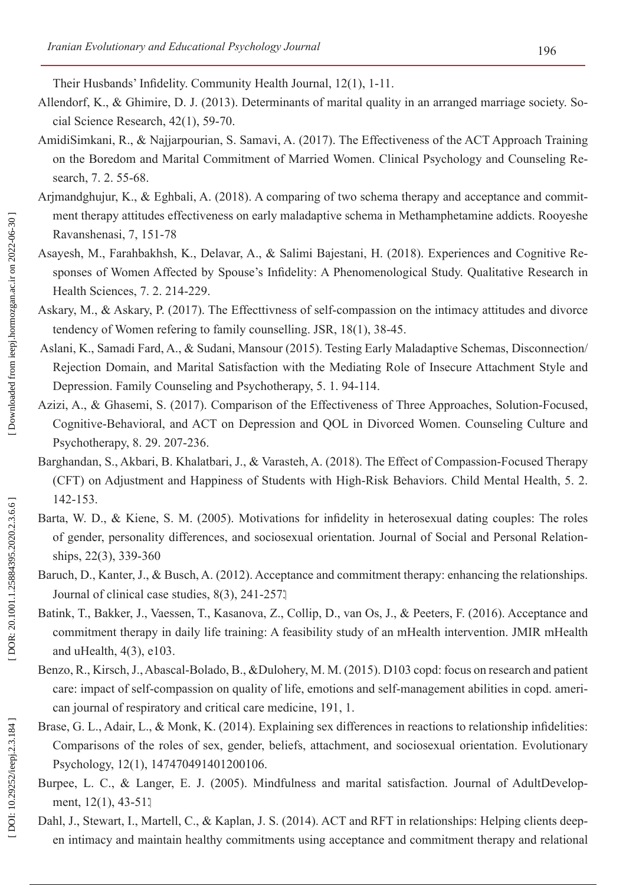Their Husbands' Infidelity. Community Health Journal, 12(1), 1-11.

- Allendorf, K., & Ghimire, D. J. (2013). Determinants of marital quality in an arranged marriage society. Social Science Research, 42(1), 59-70.
- AmidiSimkani, R., & Najjarpourian, S. Samavi, A. (2017). The Effectiveness of the ACT Approach Training on the Boredom and Marital Commitment of Married Women. Clinical Psychology and Counseling Re search, 7. 2. 55-68.
- Arjmandghujur, K., & Eghbali, A. (2018). A comparing of two schema therapy and acceptance and commit ment therapy attitudes effectiveness on early maladaptive schema in Methamphetamine addicts. Rooyeshe Ravanshenasi, 7, 151-78
- Asayesh, M., Farahbakhsh, K., Delavar, A., & Salimi Bajestani, H. (2018). Experiences and Cognitive Re sponses of Women Affected by Spouse's Infidelity: A Phenomenological Study. Qualitative Research in Health Sciences, 7. 2. 214-229.
- Askary, M., & Askary, P. (2017). The Effecttivness of self-compassion on the intimacy attitudes and divorce tendency of Women refering to family counselling. JSR, 18(1), 38-45.
- Aslani, K., Samadi Fard, A., & Sudani, Mansour (2015). Testing Early Maladaptive Schemas, Disconnection/ Rejection Domain, and Marital Satisfaction with the Mediating Role of Insecure Attachment Style and Depression. Family Counseling and Psychotherapy, 5. 1. 94-114.
- Azizi, A., & Ghasemi, S. (2017). Comparison of the Effectiveness of Three Approaches, Solution-Focused, Cognitive-Behavioral, and ACT on Depression and QOL in Divorced Women. Counseling Culture and Psychotherapy, 8. 29. 207-236.
- Barghandan, S., Akbari, B. Khalatbari, J., & Varasteh, A. (2018). The Effect of Compassion-Focused Therapy (CFT) on Adjustment and Happiness of Students with High-Risk Behaviors. Child Mental Health, 5. 2. 142-153.
- Barta, W. D., & Kiene, S. M. (2005). Motivations for infidelity in heterosexual dating couples: The roles of gender, personality differences, and sociosexual orientation. Journal of Social and Personal Relation ships, 22(3), 339-360
- Baruch, D., Kanter, J., & Busch, A. (2012). Acceptance and commitment therapy: enhancing the relationships. Journal of clinical case studies, 8(3), 241-257.
- Batink, T., Bakker, J., Vaessen, T., Kasanova, Z., Collip, D., van Os, J., & Peeters, F. (2016). Acceptance and commitment therapy in daily life training: A feasibility study of an mHealth intervention. JMIR mHealth and uHealth, 4(3), e103.
- Benzo, R., Kirsch, J., Abascal-Bolado, B., &Dulohery, M. M. (2015). D103 copd: focus on research and patient care: impact of self-compassion on quality of life, emotions and self-management abilities in copd. ameri can journal of respiratory and critical care medicine, 191, 1.
- Brase, G. L., Adair, L., & Monk, K. (2014). Explaining sex differences in reactions to relationship infidelities: Comparisons of the roles of sex, gender, beliefs, attachment, and sociosexual orientation. Evolutionary Psychology, 12(1), 147470491401200106.
- Burpee, L. C., & Langer, E. J. (2005). Mindfulness and marital satisfaction. Journal of AdultDevelopment,  $12(1)$ ,  $43-51$ .
- Dahl, J., Stewart, I., Martell, C., & Kaplan, J. S. (2014). ACT and RFT in relationships: Helping clients deepen intimacy and maintain healthy commitments using acceptance and commitment therapy and relational

DOI: 10.29252/ieepj.2.3.184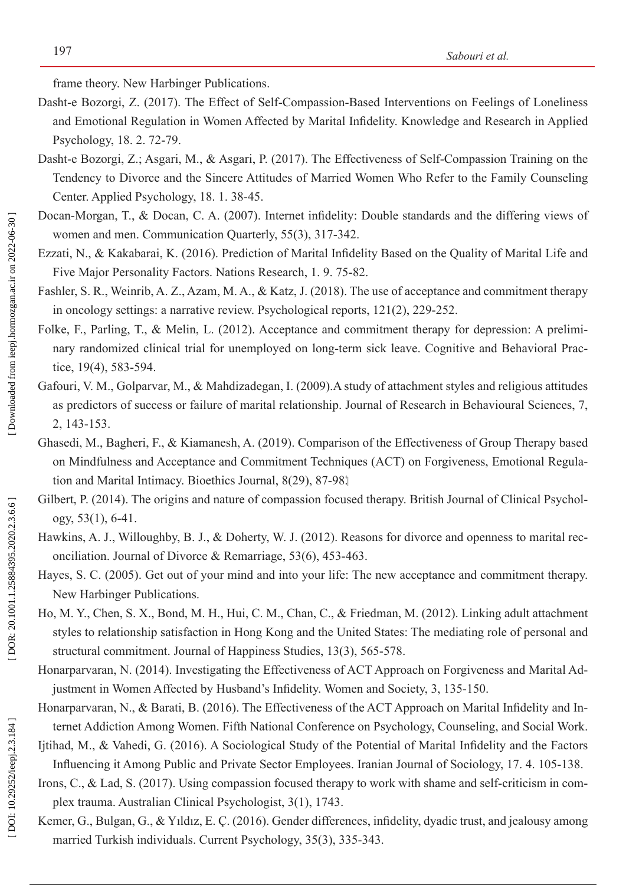frame theory. New Harbinger Publications.

- Dasht-e Bozorgi, Z. (2017). The Effect of Self-Compassion-Based Interventions on Feelings of Loneliness and Emotional Regulation in Women Affected by Marital Infidelity. Knowledge and Research in Applied Psychology, 18. 2. 72-79.
- Dasht-e Bozorgi, Z.; Asgari, M., & Asgari, P. (2017). The Effectiveness of Self-Compassion Training on the Tendency to Divorce and the Sincere Attitudes of Married Women Who Refer to the Family Counseling Center. Applied Psychology, 18. 1. 38-45.
- Docan-Morgan, T., & Docan, C. A. (2007). Internet infidelity: Double standards and the differing views of women and men. Communication Quarterly, 55(3), 317-342.
- Ezzati, N., & Kakabarai, K. (2016). Prediction of Marital Infidelity Based on the Quality of Marital Life and Five Major Personality Factors. Nations Research, 1. 9. 75-82.
- Fashler, S. R., Weinrib, A. Z., Azam, M. A., & Katz, J. (2018). The use of acceptance and commitment therapy in oncology settings: a narrative review. Psychological reports, 121(2), 229-252.
- Folke, F., Parling, T., & Melin, L. (2012). Acceptance and commitment therapy for depression: A preliminary randomized clinical trial for unemployed on long-term sick leave. Cognitive and Behavioral Prac tice, 19(4), 583-594.
- Gafouri, V. M., Golparvar, M., & Mahdizadegan, I. (2009).A study of attachment styles and religious attitudes as predictors of success or failure of marital relationship. Journal of Research in Behavioural Sciences, 7, 2, 143-153.
- Ghasedi, M., Bagheri, F., & Kiamanesh, A. (2019). Comparison of the Effectiveness of Group Therapy based on Mindfulness and Acceptance and Commitment Techniques (ACT) on Forgiveness, Emotional Regula tion and Marital Intimacy. Bioethics Journal, 8(29), 87-98.
- Gilbert, P. (2014). The origins and nature of compassion focused therapy. British Journal of Clinical Psychology, 53(1), 6-41.
- Hawkins, A. J., Willoughby, B. J., & Doherty, W. J. (2012). Reasons for divorce and openness to marital reconciliation. Journal of Divorce & Remarriage, 53(6), 453-463.
- Hayes, S. C. (2005). Get out of your mind and into your life: The new acceptance and commitment therapy. New Harbinger Publications.
- Ho, M. Y., Chen, S. X., Bond, M. H., Hui, C. M., Chan, C., & Friedman, M. (2012). Linking adult attachment styles to relationship satisfaction in Hong Kong and the United States: The mediating role of personal and structural commitment. Journal of Happiness Studies, 13(3), 565-578.
- Honarparvaran, N. (2014). Investigating the Effectiveness of ACT Approach on Forgiveness and Marital Ad justment in Women Affected by Husband's Infidelity. Women and Society, 3, 135-150.
- Honarparvaran, N., & Barati, B. (2016). The Effectiveness of the ACT Approach on Marital Infidelity and In ternet Addiction Among Women. Fifth National Conference on Psychology, Counseling, and Social Work.
- Ijtihad, M., & Vahedi, G. (2016). A Sociological Study of the Potential of Marital Infidelity and the Factors Influencing it Among Public and Private Sector Employees. Iranian Journal of Sociology, 17. 4. 105-138.
- Irons, C., & Lad, S. (2017). Using compassion focused therapy to work with shame and self-criticism in complex trauma. Australian Clinical Psychologist, 3(1), 1743.
- Kemer, G., Bulgan, G., & Yıldız, E. Ç. (2016). Gender differences, infidelity, dyadic trust, and jealousy among married Turkish individuals. Current Psychology, 35(3), 335-343.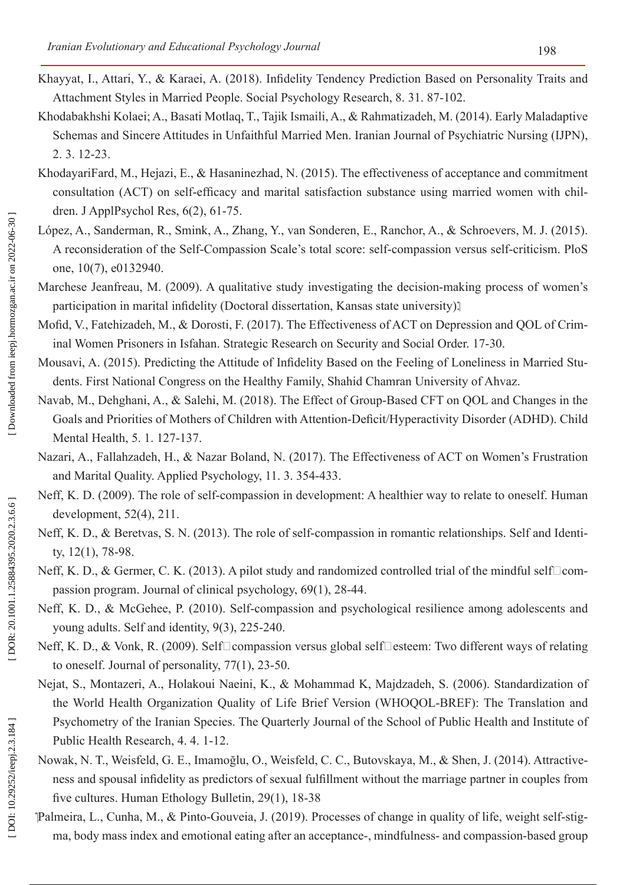- Khayyat, I., Attari, Y., & Karaei, A. (2018). Infidelity Tendency Prediction Based on Personality Traits and Attachment Styles in Married People. Social Psychology Research, 8. 31. 87-102.
- Khodabakhshi Kolaei; A., Basati Motlaq, T., Tajik Ismaili, A., & Rahmatizadeh, M. (2014). Early Maladaptive Schemas and Sincere Attitudes in Unfaithful Married Men. Iranian Journal of Psychiatric Nursing (IJPN), 2. 3. 12-23.
- KhodayariFard, M., Hejazi, E., & Hasaninezhad, N. (2015). The effectiveness of acceptance and commitment consultation (ACT) on self-efficacy and marital satisfaction substance using married women with chil dren. J ApplPsychol Res, 6(2), 61-75.
- López, A., Sanderman, R., Smink, A., Zhang, Y., van Sonderen, E., Ranchor, A., & Schroevers, M. J. (2015). A reconsideration of the Self-Compassion Scale's total score: self-compassion versus self-criticism. PloS one, 10(7), e0132940.
- Marchese Jeanfreau, M. (2009). A qualitative study investigating the decision-making process of women's participation in marital infidelity (Doctoral dissertation, Kansas state university).
- Mofid, V., Fatehizadeh, M., & Dorosti, F. (2017). The Effectiveness of ACT on Depression and QOL of Criminal Women Prisoners in Isfahan. Strategic Research on Security and Social Order. 17-30.
- Mousavi, A. (2015). Predicting the Attitude of Infidelity Based on the Feeling of Loneliness in Married Stu dents. First National Congress on the Healthy Family, Shahid Chamran University of Ahvaz.
- Navab, M., Dehghani, A., & Salehi, M. (2018). The Effect of Group-Based CFT on QOL and Changes in the Goals and Priorities of Mothers of Children with Attention-Deficit/Hyperactivity Disorder (ADHD). Child Mental Health, 5. 1. 127-137.
- Nazari, A., Fallahzadeh, H., & Nazar Boland, N. (2017). The Effectiveness of ACT on Women's Frustration and Marital Quality. Applied Psychology, 11. 3. 354-433.
- Neff, K. D. (2009). The role of self-compassion in development: A healthier way to relate to oneself. Human development, 52(4), 211.
- Neff, K. D., & Beretvas, S. N. (2013). The role of self-compassion in romantic relationships. Self and Identity, 12(1), 78-98.
- Neff, K. D., & Germer, C. K. (2013). A pilot study and randomized controlled trial of the mindful self $\Box$ compassion program. Journal of clinical psychology, 69(1), 28-44.
- Neff, K. D., & McGehee, P. (2010). Self-compassion and psychological resilience among adolescents and young adults. Self and identity, 9(3), 225-240.
- Neff, K. D., & Vonk, R. (2009). Self□compassion versus global self□esteem: Two different ways of relating to oneself. Journal of personality, 77(1), 23-50.
- Nejat, S., Montazeri, A., Holakoui Naeini, K., & Mohammad K, Majdzadeh, S. (2006). Standardization of the World Health Organization Quality of Life Brief Version (WHOQOL-BREF): The Translation and Psychometry of the Iranian Species. The Quarterly Journal of the School of Public Health and Institute of Public Health Research, 4. 4. 1-12.
- Nowak, N. T., Weisfeld, G. E., Imamoğlu, O., Weisfeld, C. C., Butovskaya, M., & Shen, J. (2014). Attractive ness and spousal infidelity as predictors of sexual fulfillment without the marriage partner in couples from five cultures. Human Ethology Bulletin, 29(1), 18-38
- Palmeira, L., Cunha, M., & Pinto-Gouveia, J. (2019). Processes of change in quality of life, weight self-stigma, body mass index and emotional eating after an acceptance-, mindfulness- and compassion-based group